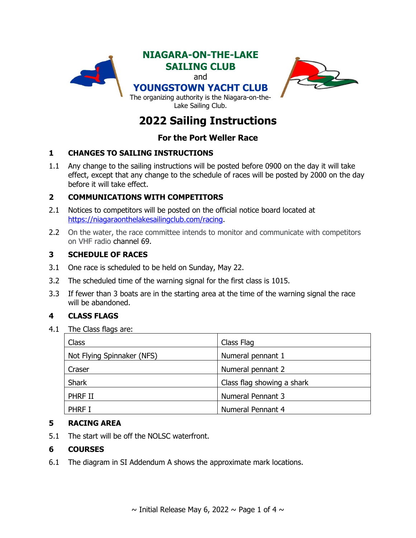

# **2022 Sailing Instructions**

# **For the Port Weller Race**

## **1 CHANGES TO SAILING INSTRUCTIONS**

1.1 Any change to the sailing instructions will be posted before 0900 on the day it will take effect, except that any change to the schedule of races will be posted by 2000 on the day before it will take effect.

## **2 COMMUNICATIONS WITH COMPETITORS**

- 2.1 Notices to competitors will be posted on the official notice board located at [https://niagaraonthelakesailingclub.com/racing.](https://niagaraonthelakesailingclub.com/racing)
- 2.2 On the water, the race committee intends to monitor and communicate with competitors on VHF radio channel 69.

## **3 SCHEDULE OF RACES**

- 3.1 One race is scheduled to be held on Sunday, May 22.
- 3.2 The scheduled time of the warning signal for the first class is 1015.
- 3.3 If fewer than 3 boats are in the starting area at the time of the warning signal the race will be abandoned.

## **4 CLASS FLAGS**

4.1 The Class flags are:

| Class                      | Class Flag                 |
|----------------------------|----------------------------|
| Not Flying Spinnaker (NFS) | Numeral pennant 1          |
| Craser                     | Numeral pennant 2          |
| <b>Shark</b>               | Class flag showing a shark |
| PHRF II                    | <b>Numeral Pennant 3</b>   |
| <b>PHRF I</b>              | Numeral Pennant 4          |

## **5 RACING AREA**

5.1 The start will be off the NOLSC waterfront.

## **6 COURSES**

6.1 The diagram in SI Addendum A shows the approximate mark locations.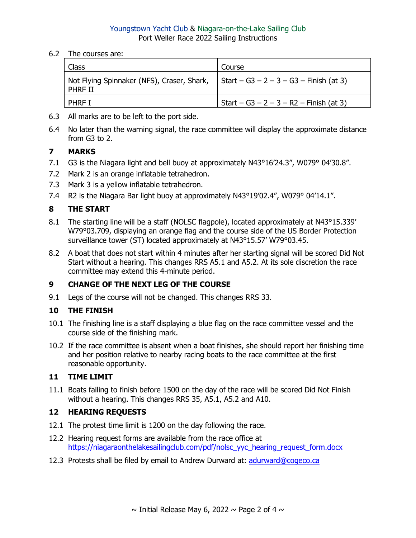#### Youngstown Yacht Club & Niagara-on-the-Lake Sailing Club Port Weller Race 2022 Sailing Instructions

6.2 The courses are:

| Class                                                                                                 | Course                                  |
|-------------------------------------------------------------------------------------------------------|-----------------------------------------|
| Not Flying Spinnaker (NFS), Craser, Shark, $\vert$ Start – G3 – 2 – 3 – G3 – Finish (at 3)<br>PHRF II |                                         |
| <b>PHRF I</b>                                                                                         | Start – G3 – 2 – 3 – R2 – Finish (at 3) |

- 6.3 All marks are to be left to the port side.
- 6.4 No later than the warning signal, the race committee will display the approximate distance from G3 to 2.

# **7 MARKS**

- 7.1 G3 is the Niagara light and bell buoy at approximately N43°16'24.3", W079° 04'30.8".
- 7.2 Mark 2 is an orange inflatable tetrahedron.
- 7.3 Mark 3 is a yellow inflatable tetrahedron.
- 7.4 R2 is the Niagara Bar light buoy at approximately N43°19'02.4", W079° 04'14.1".

## **8 THE START**

- 8.1 The starting line will be a staff (NOLSC flagpole), located approximately at N43°15.339' W79°03.709, displaying an orange flag and the course side of the US Border Protection surveillance tower (ST) located approximately at N43°15.57' W79°03.45.
- 8.2 A boat that does not start within 4 minutes after her starting signal will be scored Did Not Start without a hearing. This changes RRS A5.1 and A5.2. At its sole discretion the race committee may extend this 4-minute period.

## **9 CHANGE OF THE NEXT LEG OF THE COURSE**

9.1 Legs of the course will not be changed. This changes RRS 33.

# **10 THE FINISH**

- 10.1 The finishing line is a staff displaying a blue flag on the race committee vessel and the course side of the finishing mark.
- 10.2 If the race committee is absent when a boat finishes, she should report her finishing time and her position relative to nearby racing boats to the race committee at the first reasonable opportunity.

## **11 TIME LIMIT**

11.1 Boats failing to finish before 1500 on the day of the race will be scored Did Not Finish without a hearing. This changes RRS 35, A5.1, A5.2 and A10.

## **12 HEARING REQUESTS**

- 12.1 The protest time limit is 1200 on the day following the race.
- 12.2 Hearing request forms are available from the race office at [https://niagaraonthelakesailingclub.com/pdf/nolsc\\_yyc\\_hearing\\_request\\_form.docx](https://niagaraonthelakesailingclub.com/pdf/nolsc_yyc_hearing_request_form.docx)
- 12.3 Protests shall be filed by email to Andrew Durward at: [adurward@cogeco.ca](mailto:adurward@cogeco.ca)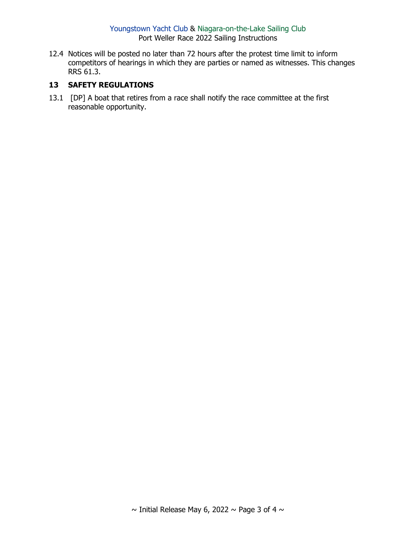#### Youngstown Yacht Club & Niagara-on-the-Lake Sailing Club Port Weller Race 2022 Sailing Instructions

12.4 Notices will be posted no later than 72 hours after the protest time limit to inform competitors of hearings in which they are parties or named as witnesses. This changes RRS 61.3.

#### **13 SAFETY REGULATIONS**

13.1 [DP] A boat that retires from a race shall notify the race committee at the first reasonable opportunity.